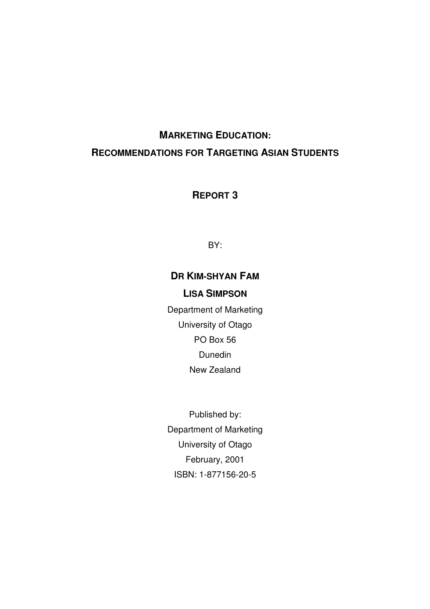# **MARKETING EDUCATION: RECOMMENDATIONS FOR TARGETING ASIAN STUDENTS**

**REPORT 3**

BY:

# **DR KIM-SHYAN FAM**

# **LISA SIMPSON**

Department of Marketing University of Otago PO Box 56 Dunedin New Zealand

Published by: Department of Marketing University of Otago February, 2001 ISBN: 1-877156-20-5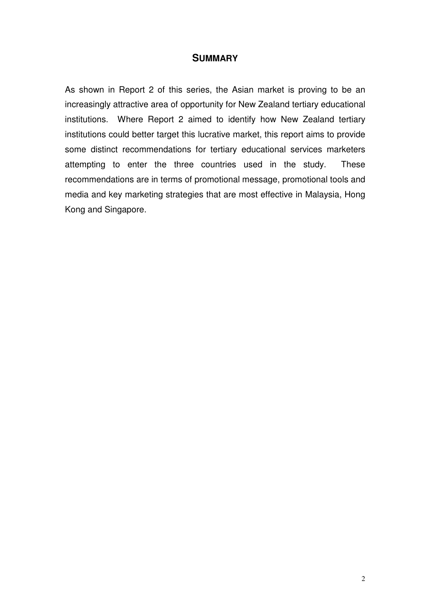#### **SUMMARY**

As shown in Report 2 of this series, the Asian market is proving to be an increasingly attractive area of opportunity for New Zealand tertiary educational institutions. Where Report 2 aimed to identify how New Zealand tertiary institutions could better target this lucrative market, this report aims to provide some distinct recommendations for tertiary educational services marketers attempting to enter the three countries used in the study. These recommendations are in terms of promotional message, promotional tools and media and key marketing strategies that are most effective in Malaysia, Hong Kong and Singapore.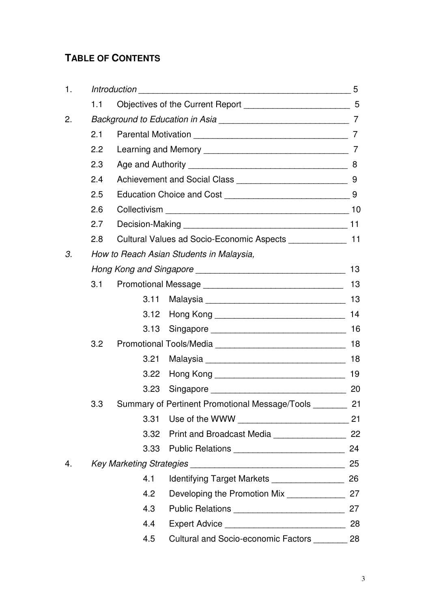# **TABLE OF CONTENTS**

| 1. |                                          |                                                              |                                                            | 5  |  |  |
|----|------------------------------------------|--------------------------------------------------------------|------------------------------------------------------------|----|--|--|
|    | 1.1                                      |                                                              |                                                            |    |  |  |
| 2. |                                          |                                                              |                                                            |    |  |  |
|    | 2.1                                      |                                                              |                                                            |    |  |  |
|    | 2.2                                      |                                                              |                                                            |    |  |  |
|    | 2.3                                      |                                                              |                                                            |    |  |  |
|    | 2.4                                      |                                                              |                                                            |    |  |  |
|    | 2.5                                      |                                                              |                                                            |    |  |  |
|    | 2.6                                      |                                                              |                                                            |    |  |  |
|    | 2.7                                      |                                                              |                                                            |    |  |  |
|    | 2.8                                      | Cultural Values ad Socio-Economic Aspects _______________ 11 |                                                            |    |  |  |
| 3. | How to Reach Asian Students in Malaysia, |                                                              |                                                            |    |  |  |
|    |                                          |                                                              |                                                            |    |  |  |
|    | 3.1                                      |                                                              |                                                            |    |  |  |
|    |                                          | 3.11                                                         |                                                            | 13 |  |  |
|    |                                          | 3.12                                                         |                                                            | 14 |  |  |
|    |                                          | 3.13                                                         |                                                            | 16 |  |  |
|    | 3.2                                      |                                                              |                                                            |    |  |  |
|    |                                          | 3.21                                                         |                                                            | 18 |  |  |
|    |                                          | 3.22                                                         |                                                            | 19 |  |  |
|    |                                          |                                                              |                                                            | 20 |  |  |
|    | 3.3                                      |                                                              | Summary of Pertinent Promotional Message/Tools ________ 21 |    |  |  |
|    |                                          | 3.31                                                         |                                                            |    |  |  |
|    |                                          |                                                              | 3.32 Print and Broadcast Media ________________________ 22 |    |  |  |
|    |                                          | 3.33                                                         |                                                            | 24 |  |  |
| 4. |                                          |                                                              |                                                            |    |  |  |
|    |                                          | 4.1                                                          | Identifying Target Markets _________________               | 26 |  |  |
|    |                                          | 4.2                                                          | Developing the Promotion Mix ______________                | 27 |  |  |
|    |                                          | 4.3                                                          |                                                            | 27 |  |  |
|    |                                          | 4.4                                                          |                                                            | 28 |  |  |
|    |                                          | 4.5                                                          | Cultural and Socio-economic Factors ________ 28            |    |  |  |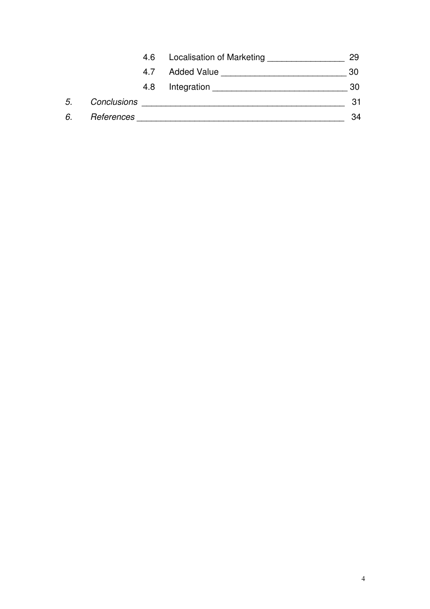|    |             | 4.6 | Localisation of Marketing | 29 |
|----|-------------|-----|---------------------------|----|
|    |             | 4.7 | <b>Added Value</b>        | 30 |
|    |             | 4.8 | Integration               | 30 |
| 5. | Conclusions |     |                           | 31 |
| 6. | References  |     |                           | 34 |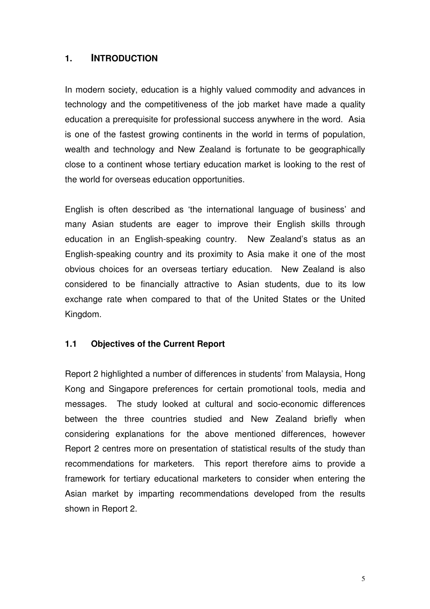## **1. INTRODUCTION**

In modern society, education is a highly valued commodity and advances in technology and the competitiveness of the job market have made a quality education a prerequisite for professional success anywhere in the word. Asia is one of the fastest growing continents in the world in terms of population, wealth and technology and New Zealand is fortunate to be geographically close to a continent whose tertiary education market is looking to the rest of the world for overseas education opportunities.

English is often described as 'the international language of business' and many Asian students are eager to improve their English skills through education in an English-speaking country. New Zealand's status as an English-speaking country and its proximity to Asia make it one of the most obvious choices for an overseas tertiary education. New Zealand is also considered to be financially attractive to Asian students, due to its low exchange rate when compared to that of the United States or the United Kingdom.

#### **1.1 Objectives of the Current Report**

Report 2 highlighted a number of differences in students' from Malaysia, Hong Kong and Singapore preferences for certain promotional tools, media and messages. The study looked at cultural and socio-economic differences between the three countries studied and New Zealand briefly when considering explanations for the above mentioned differences, however Report 2 centres more on presentation of statistical results of the study than recommendations for marketers. This report therefore aims to provide a framework for tertiary educational marketers to consider when entering the Asian market by imparting recommendations developed from the results shown in Report 2.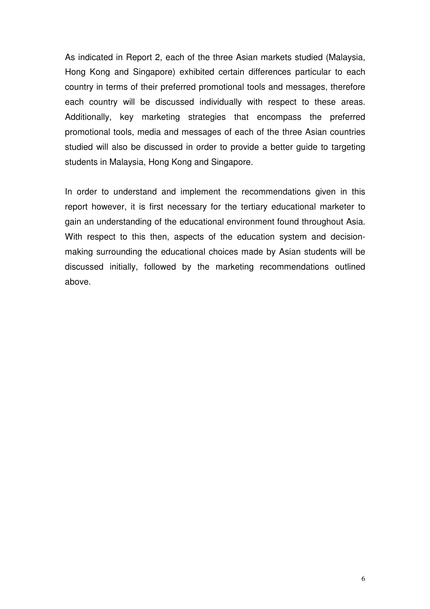As indicated in Report 2, each of the three Asian markets studied (Malaysia, Hong Kong and Singapore) exhibited certain differences particular to each country in terms of their preferred promotional tools and messages, therefore each country will be discussed individually with respect to these areas. Additionally, key marketing strategies that encompass the preferred promotional tools, media and messages of each of the three Asian countries studied will also be discussed in order to provide a better guide to targeting students in Malaysia, Hong Kong and Singapore.

In order to understand and implement the recommendations given in this report however, it is first necessary for the tertiary educational marketer to gain an understanding of the educational environment found throughout Asia. With respect to this then, aspects of the education system and decisionmaking surrounding the educational choices made by Asian students will be discussed initially, followed by the marketing recommendations outlined above.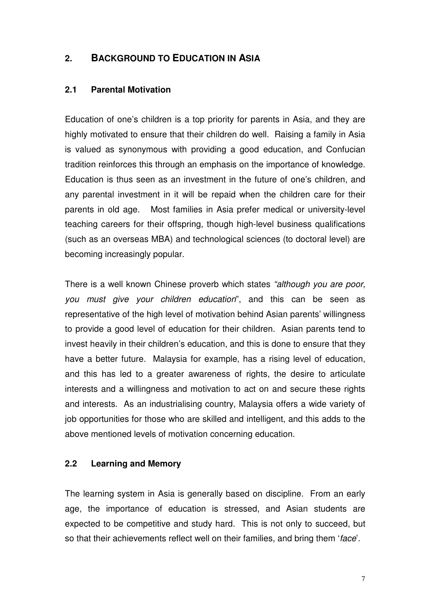# **2. BACKGROUND TO EDUCATION IN ASIA**

#### **2.1 Parental Motivation**

Education of one's children is a top priority for parents in Asia, and they are highly motivated to ensure that their children do well. Raising a family in Asia is valued as synonymous with providing a good education, and Confucian tradition reinforces this through an emphasis on the importance of knowledge. Education is thus seen as an investment in the future of one's children, and any parental investment in it will be repaid when the children care for their parents in old age. Most families in Asia prefer medical or university-level teaching careers for their offspring, though high-level business qualifications (such as an overseas MBA) and technological sciences (to doctoral level) are becoming increasingly popular.

There is a well known Chinese proverb which states *"although you are poor, you must give your children education*", and this can be seen as representative of the high level of motivation behind Asian parents' willingness to provide a good level of education for their children. Asian parents tend to invest heavily in their children's education, and this is done to ensure that they have a better future. Malaysia for example, has a rising level of education, and this has led to a greater awareness of rights, the desire to articulate interests and a willingness and motivation to act on and secure these rights and interests. As an industrialising country, Malaysia offers a wide variety of job opportunities for those who are skilled and intelligent, and this adds to the above mentioned levels of motivation concerning education.

#### **2.2 Learning and Memory**

The learning system in Asia is generally based on discipline. From an early age, the importance of education is stressed, and Asian students are expected to be competitive and study hard. This is not only to succeed, but so that their achievements reflect well on their families, and bring them '*face*'.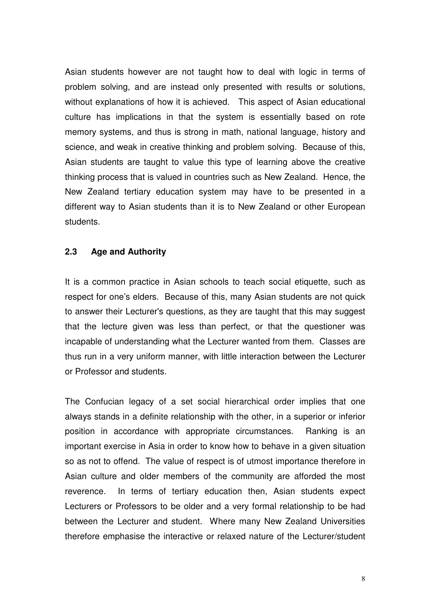Asian students however are not taught how to deal with logic in terms of problem solving, and are instead only presented with results or solutions, without explanations of how it is achieved. This aspect of Asian educational culture has implications in that the system is essentially based on rote memory systems, and thus is strong in math, national language, history and science, and weak in creative thinking and problem solving. Because of this, Asian students are taught to value this type of learning above the creative thinking process that is valued in countries such as New Zealand. Hence, the New Zealand tertiary education system may have to be presented in a different way to Asian students than it is to New Zealand or other European students.

## **2.3 Age and Authority**

It is a common practice in Asian schools to teach social etiquette, such as respect for one's elders. Because of this, many Asian students are not quick to answer their Lecturer's questions, as they are taught that this may suggest that the lecture given was less than perfect, or that the questioner was incapable of understanding what the Lecturer wanted from them. Classes are thus run in a very uniform manner, with little interaction between the Lecturer or Professor and students.

The Confucian legacy of a set social hierarchical order implies that one always stands in a definite relationship with the other, in a superior or inferior position in accordance with appropriate circumstances. Ranking is an important exercise in Asia in order to know how to behave in a given situation so as not to offend. The value of respect is of utmost importance therefore in Asian culture and older members of the community are afforded the most reverence. In terms of tertiary education then, Asian students expect Lecturers or Professors to be older and a very formal relationship to be had between the Lecturer and student. Where many New Zealand Universities therefore emphasise the interactive or relaxed nature of the Lecturer/student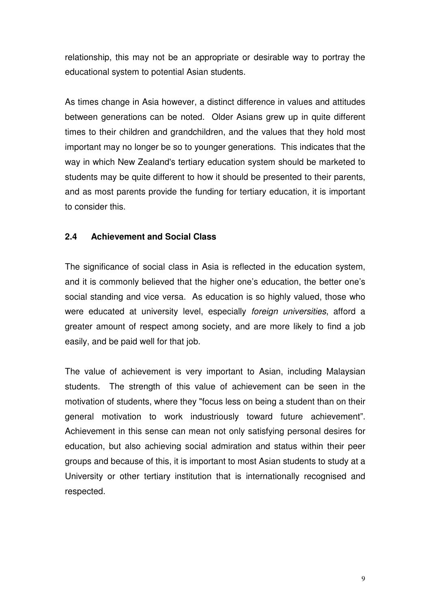relationship, this may not be an appropriate or desirable way to portray the educational system to potential Asian students.

As times change in Asia however, a distinct difference in values and attitudes between generations can be noted. Older Asians grew up in quite different times to their children and grandchildren, and the values that they hold most important may no longer be so to younger generations. This indicates that the way in which New Zealand's tertiary education system should be marketed to students may be quite different to how it should be presented to their parents, and as most parents provide the funding for tertiary education, it is important to consider this.

## **2.4 Achievement and Social Class**

The significance of social class in Asia is reflected in the education system, and it is commonly believed that the higher one's education, the better one's social standing and vice versa. As education is so highly valued, those who were educated at university level, especially *foreign universities*, afford a greater amount of respect among society, and are more likely to find a job easily, and be paid well for that job.

The value of achievement is very important to Asian, including Malaysian students. The strength of this value of achievement can be seen in the motivation of students, where they "focus less on being a student than on their general motivation to work industriously toward future achievement". Achievement in this sense can mean not only satisfying personal desires for education, but also achieving social admiration and status within their peer groups and because of this, it is important to most Asian students to study at a University or other tertiary institution that is internationally recognised and respected.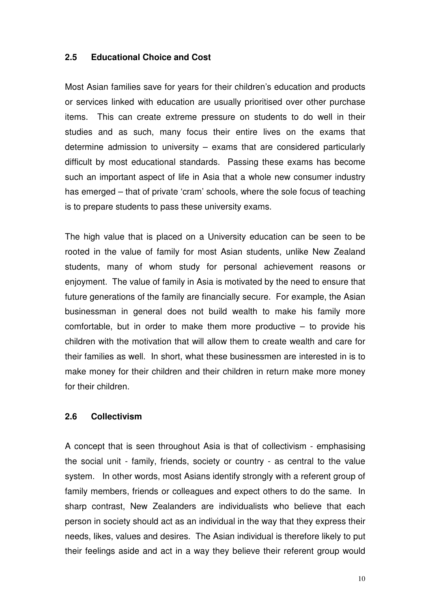#### **2.5 Educational Choice and Cost**

Most Asian families save for years for their children's education and products or services linked with education are usually prioritised over other purchase items. This can create extreme pressure on students to do well in their studies and as such, many focus their entire lives on the exams that determine admission to university – exams that are considered particularly difficult by most educational standards. Passing these exams has become such an important aspect of life in Asia that a whole new consumer industry has emerged – that of private 'cram' schools, where the sole focus of teaching is to prepare students to pass these university exams.

The high value that is placed on a University education can be seen to be rooted in the value of family for most Asian students, unlike New Zealand students, many of whom study for personal achievement reasons or enjoyment. The value of family in Asia is motivated by the need to ensure that future generations of the family are financially secure. For example, the Asian businessman in general does not build wealth to make his family more comfortable, but in order to make them more productive – to provide his children with the motivation that will allow them to create wealth and care for their families as well. In short, what these businessmen are interested in is to make money for their children and their children in return make more money for their children.

#### **2.6 Collectivism**

A concept that is seen throughout Asia is that of collectivism - emphasising the social unit - family, friends, society or country - as central to the value system. In other words, most Asians identify strongly with a referent group of family members, friends or colleagues and expect others to do the same. In sharp contrast, New Zealanders are individualists who believe that each person in society should act as an individual in the way that they express their needs, likes, values and desires. The Asian individual is therefore likely to put their feelings aside and act in a way they believe their referent group would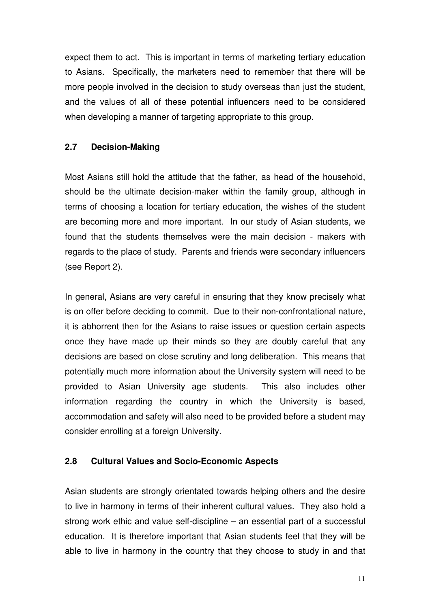expect them to act. This is important in terms of marketing tertiary education to Asians. Specifically, the marketers need to remember that there will be more people involved in the decision to study overseas than just the student, and the values of all of these potential influencers need to be considered when developing a manner of targeting appropriate to this group.

## **2.7 Decision-Making**

Most Asians still hold the attitude that the father, as head of the household, should be the ultimate decision-maker within the family group, although in terms of choosing a location for tertiary education, the wishes of the student are becoming more and more important. In our study of Asian students, we found that the students themselves were the main decision - makers with regards to the place of study. Parents and friends were secondary influencers (see Report 2).

In general, Asians are very careful in ensuring that they know precisely what is on offer before deciding to commit. Due to their non-confrontational nature, it is abhorrent then for the Asians to raise issues or question certain aspects once they have made up their minds so they are doubly careful that any decisions are based on close scrutiny and long deliberation. This means that potentially much more information about the University system will need to be provided to Asian University age students. This also includes other information regarding the country in which the University is based, accommodation and safety will also need to be provided before a student may consider enrolling at a foreign University.

#### **2.8 Cultural Values and Socio-Economic Aspects**

Asian students are strongly orientated towards helping others and the desire to live in harmony in terms of their inherent cultural values. They also hold a strong work ethic and value self-discipline – an essential part of a successful education. It is therefore important that Asian students feel that they will be able to live in harmony in the country that they choose to study in and that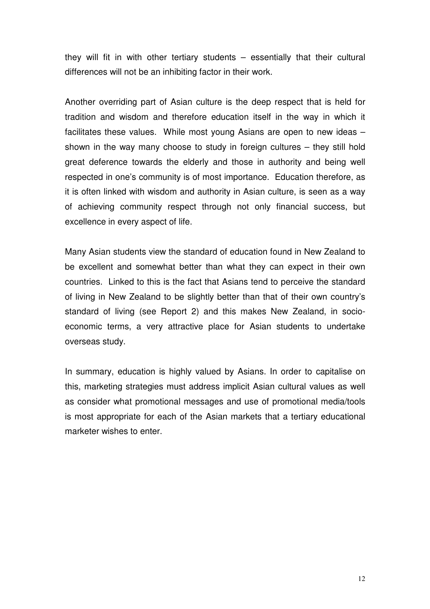they will fit in with other tertiary students – essentially that their cultural differences will not be an inhibiting factor in their work.

Another overriding part of Asian culture is the deep respect that is held for tradition and wisdom and therefore education itself in the way in which it facilitates these values. While most young Asians are open to new ideas – shown in the way many choose to study in foreign cultures – they still hold great deference towards the elderly and those in authority and being well respected in one's community is of most importance. Education therefore, as it is often linked with wisdom and authority in Asian culture, is seen as a way of achieving community respect through not only financial success, but excellence in every aspect of life.

Many Asian students view the standard of education found in New Zealand to be excellent and somewhat better than what they can expect in their own countries. Linked to this is the fact that Asians tend to perceive the standard of living in New Zealand to be slightly better than that of their own country's standard of living (see Report 2) and this makes New Zealand, in socioeconomic terms, a very attractive place for Asian students to undertake overseas study.

In summary, education is highly valued by Asians. In order to capitalise on this, marketing strategies must address implicit Asian cultural values as well as consider what promotional messages and use of promotional media/tools is most appropriate for each of the Asian markets that a tertiary educational marketer wishes to enter.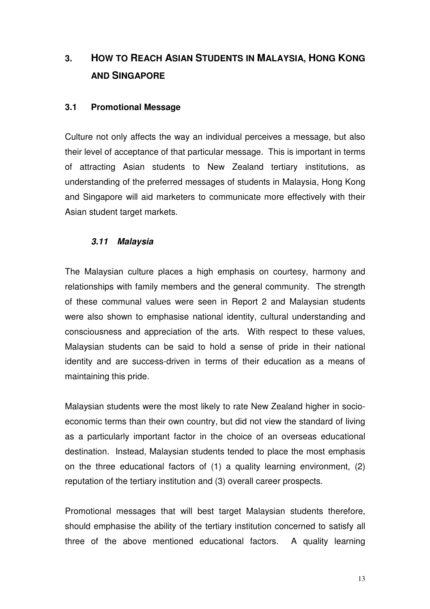# **3. HOW TO REACH ASIAN STUDENTS IN MALAYSIA, HONG KONG AND SINGAPORE**

#### **3.1 Promotional Message**

Culture not only affects the way an individual perceives a message, but also their level of acceptance of that particular message. This is important in terms of attracting Asian students to New Zealand tertiary institutions, as understanding of the preferred messages of students in Malaysia, Hong Kong and Singapore will aid marketers to communicate more effectively with their Asian student target markets.

#### *3.11 Malaysia*

The Malaysian culture places a high emphasis on courtesy, harmony and relationships with family members and the general community. The strength of these communal values were seen in Report 2 and Malaysian students were also shown to emphasise national identity, cultural understanding and consciousness and appreciation of the arts. With respect to these values, Malaysian students can be said to hold a sense of pride in their national identity and are success-driven in terms of their education as a means of maintaining this pride.

Malaysian students were the most likely to rate New Zealand higher in socioeconomic terms than their own country, but did not view the standard of living as a particularly important factor in the choice of an overseas educational destination. Instead, Malaysian students tended to place the most emphasis on the three educational factors of (1) a quality learning environment, (2) reputation of the tertiary institution and (3) overall career prospects.

Promotional messages that will best target Malaysian students therefore, should emphasise the ability of the tertiary institution concerned to satisfy all three of the above mentioned educational factors. A quality learning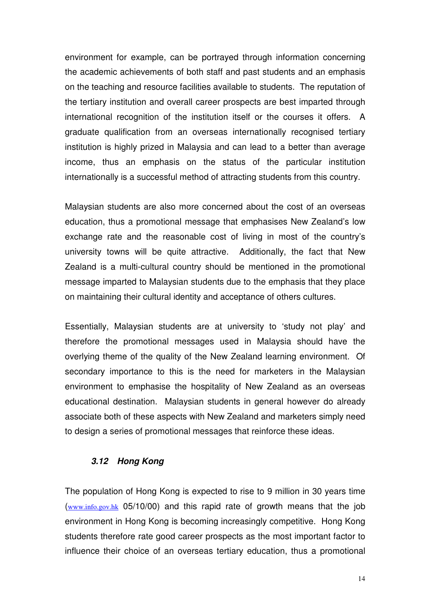environment for example, can be portrayed through information concerning the academic achievements of both staff and past students and an emphasis on the teaching and resource facilities available to students. The reputation of the tertiary institution and overall career prospects are best imparted through international recognition of the institution itself or the courses it offers. A graduate qualification from an overseas internationally recognised tertiary institution is highly prized in Malaysia and can lead to a better than average income, thus an emphasis on the status of the particular institution internationally is a successful method of attracting students from this country.

Malaysian students are also more concerned about the cost of an overseas education, thus a promotional message that emphasises New Zealand's low exchange rate and the reasonable cost of living in most of the country's university towns will be quite attractive. Additionally, the fact that New Zealand is a multi-cultural country should be mentioned in the promotional message imparted to Malaysian students due to the emphasis that they place on maintaining their cultural identity and acceptance of others cultures.

Essentially, Malaysian students are at university to 'study not play' and therefore the promotional messages used in Malaysia should have the overlying theme of the quality of the New Zealand learning environment. Of secondary importance to this is the need for marketers in the Malaysian environment to emphasise the hospitality of New Zealand as an overseas educational destination. Malaysian students in general however do already associate both of these aspects with New Zealand and marketers simply need to design a series of promotional messages that reinforce these ideas.

#### *3.12 Hong Kong*

The population of Hong Kong is expected to rise to 9 million in 30 years time (www.info.gov.hk 05/10/00) and this rapid rate of growth means that the job environment in Hong Kong is becoming increasingly competitive. Hong Kong students therefore rate good career prospects as the most important factor to influence their choice of an overseas tertiary education, thus a promotional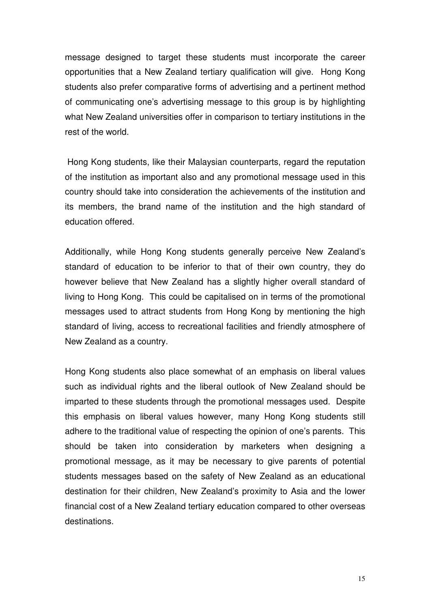message designed to target these students must incorporate the career opportunities that a New Zealand tertiary qualification will give. Hong Kong students also prefer comparative forms of advertising and a pertinent method of communicating one's advertising message to this group is by highlighting what New Zealand universities offer in comparison to tertiary institutions in the rest of the world.

Hong Kong students, like their Malaysian counterparts, regard the reputation of the institution as important also and any promotional message used in this country should take into consideration the achievements of the institution and its members, the brand name of the institution and the high standard of education offered.

Additionally, while Hong Kong students generally perceive New Zealand's standard of education to be inferior to that of their own country, they do however believe that New Zealand has a slightly higher overall standard of living to Hong Kong. This could be capitalised on in terms of the promotional messages used to attract students from Hong Kong by mentioning the high standard of living, access to recreational facilities and friendly atmosphere of New Zealand as a country.

Hong Kong students also place somewhat of an emphasis on liberal values such as individual rights and the liberal outlook of New Zealand should be imparted to these students through the promotional messages used. Despite this emphasis on liberal values however, many Hong Kong students still adhere to the traditional value of respecting the opinion of one's parents. This should be taken into consideration by marketers when designing a promotional message, as it may be necessary to give parents of potential students messages based on the safety of New Zealand as an educational destination for their children, New Zealand's proximity to Asia and the lower financial cost of a New Zealand tertiary education compared to other overseas destinations.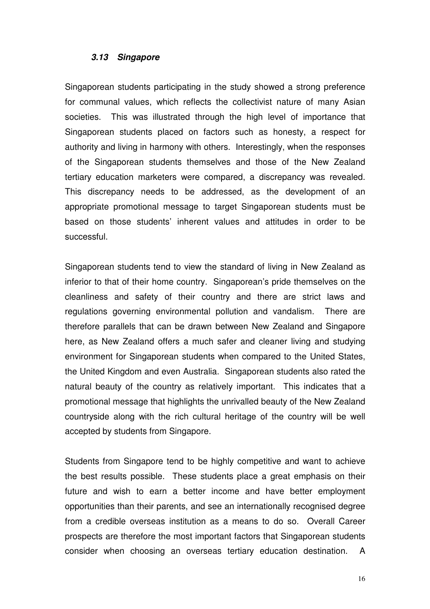#### *3.13 Singapore*

Singaporean students participating in the study showed a strong preference for communal values, which reflects the collectivist nature of many Asian societies. This was illustrated through the high level of importance that Singaporean students placed on factors such as honesty, a respect for authority and living in harmony with others. Interestingly, when the responses of the Singaporean students themselves and those of the New Zealand tertiary education marketers were compared, a discrepancy was revealed. This discrepancy needs to be addressed, as the development of an appropriate promotional message to target Singaporean students must be based on those students' inherent values and attitudes in order to be successful.

Singaporean students tend to view the standard of living in New Zealand as inferior to that of their home country. Singaporean's pride themselves on the cleanliness and safety of their country and there are strict laws and regulations governing environmental pollution and vandalism. There are therefore parallels that can be drawn between New Zealand and Singapore here, as New Zealand offers a much safer and cleaner living and studying environment for Singaporean students when compared to the United States, the United Kingdom and even Australia. Singaporean students also rated the natural beauty of the country as relatively important. This indicates that a promotional message that highlights the unrivalled beauty of the New Zealand countryside along with the rich cultural heritage of the country will be well accepted by students from Singapore.

Students from Singapore tend to be highly competitive and want to achieve the best results possible. These students place a great emphasis on their future and wish to earn a better income and have better employment opportunities than their parents, and see an internationally recognised degree from a credible overseas institution as a means to do so. Overall Career prospects are therefore the most important factors that Singaporean students consider when choosing an overseas tertiary education destination. A

16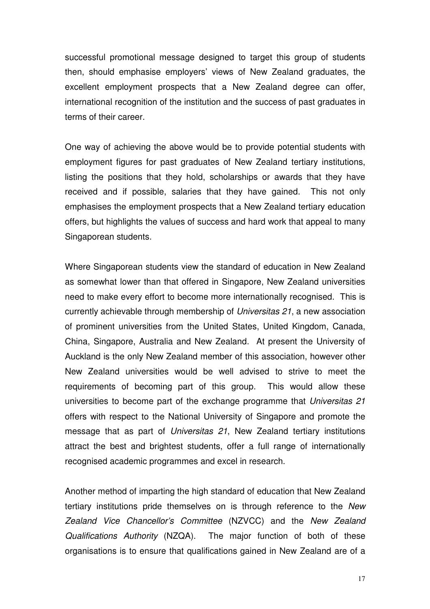successful promotional message designed to target this group of students then, should emphasise employers' views of New Zealand graduates, the excellent employment prospects that a New Zealand degree can offer, international recognition of the institution and the success of past graduates in terms of their career.

One way of achieving the above would be to provide potential students with employment figures for past graduates of New Zealand tertiary institutions, listing the positions that they hold, scholarships or awards that they have received and if possible, salaries that they have gained. This not only emphasises the employment prospects that a New Zealand tertiary education offers, but highlights the values of success and hard work that appeal to many Singaporean students.

Where Singaporean students view the standard of education in New Zealand as somewhat lower than that offered in Singapore, New Zealand universities need to make every effort to become more internationally recognised. This is currently achievable through membership of *Universitas 21*, a new association of prominent universities from the United States, United Kingdom, Canada, China, Singapore, Australia and New Zealand. At present the University of Auckland is the only New Zealand member of this association, however other New Zealand universities would be well advised to strive to meet the requirements of becoming part of this group. This would allow these universities to become part of the exchange programme that *Universitas 21* offers with respect to the National University of Singapore and promote the message that as part of *Universitas 21*, New Zealand tertiary institutions attract the best and brightest students, offer a full range of internationally recognised academic programmes and excel in research.

Another method of imparting the high standard of education that New Zealand tertiary institutions pride themselves on is through reference to the *New Zealand Vice Chancellor's Committee* (NZVCC) and the *New Zealand Qualifications Authority* (NZQA). The major function of both of these organisations is to ensure that qualifications gained in New Zealand are of a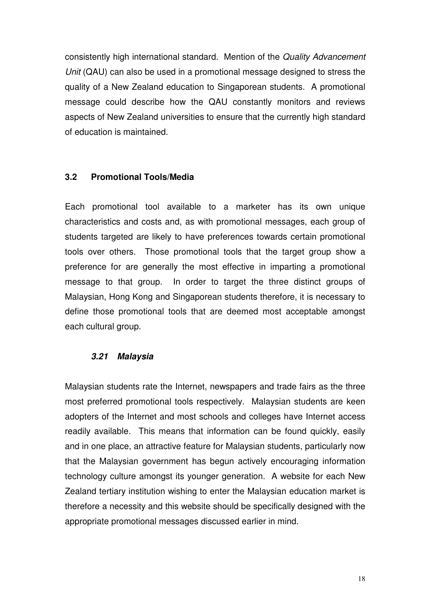consistently high international standard. Mention of the *Quality Advancement Unit* (QAU) can also be used in a promotional message designed to stress the quality of a New Zealand education to Singaporean students. A promotional message could describe how the QAU constantly monitors and reviews aspects of New Zealand universities to ensure that the currently high standard of education is maintained.

#### **3.2 Promotional Tools/Media**

Each promotional tool available to a marketer has its own unique characteristics and costs and, as with promotional messages, each group of students targeted are likely to have preferences towards certain promotional tools over others. Those promotional tools that the target group show a preference for are generally the most effective in imparting a promotional message to that group. In order to target the three distinct groups of Malaysian, Hong Kong and Singaporean students therefore, it is necessary to define those promotional tools that are deemed most acceptable amongst each cultural group.

## *3.21 Malaysia*

Malaysian students rate the Internet, newspapers and trade fairs as the three most preferred promotional tools respectively. Malaysian students are keen adopters of the Internet and most schools and colleges have Internet access readily available. This means that information can be found quickly, easily and in one place, an attractive feature for Malaysian students, particularly now that the Malaysian government has begun actively encouraging information technology culture amongst its younger generation. A website for each New Zealand tertiary institution wishing to enter the Malaysian education market is therefore a necessity and this website should be specifically designed with the appropriate promotional messages discussed earlier in mind.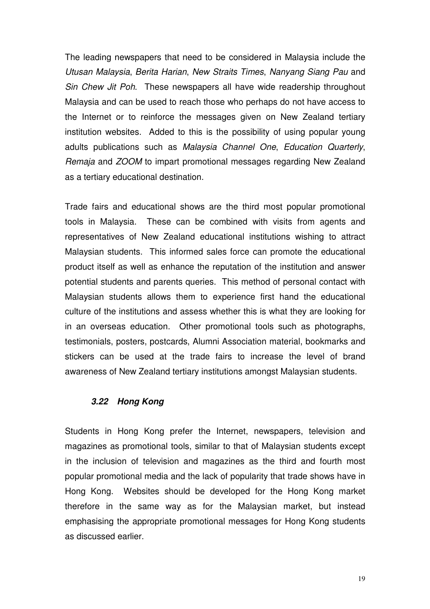The leading newspapers that need to be considered in Malaysia include the *Utusan Malaysia*, *Berita Harian*, *New Straits Times*, *Nanyang Siang Pau* and *Sin Chew Jit Poh*. These newspapers all have wide readership throughout Malaysia and can be used to reach those who perhaps do not have access to the Internet or to reinforce the messages given on New Zealand tertiary institution websites. Added to this is the possibility of using popular young adults publications such as *Malaysia Channel One*, *Education Quarterly*, *Remaja* and *ZOOM* to impart promotional messages regarding New Zealand as a tertiary educational destination.

Trade fairs and educational shows are the third most popular promotional tools in Malaysia. These can be combined with visits from agents and representatives of New Zealand educational institutions wishing to attract Malaysian students. This informed sales force can promote the educational product itself as well as enhance the reputation of the institution and answer potential students and parents queries. This method of personal contact with Malaysian students allows them to experience first hand the educational culture of the institutions and assess whether this is what they are looking for in an overseas education. Other promotional tools such as photographs, testimonials, posters, postcards, Alumni Association material, bookmarks and stickers can be used at the trade fairs to increase the level of brand awareness of New Zealand tertiary institutions amongst Malaysian students.

#### *3.22 Hong Kong*

Students in Hong Kong prefer the Internet, newspapers, television and magazines as promotional tools, similar to that of Malaysian students except in the inclusion of television and magazines as the third and fourth most popular promotional media and the lack of popularity that trade shows have in Hong Kong. Websites should be developed for the Hong Kong market therefore in the same way as for the Malaysian market, but instead emphasising the appropriate promotional messages for Hong Kong students as discussed earlier.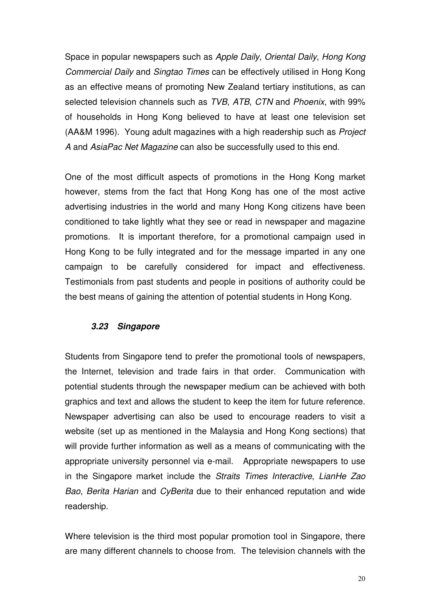Space in popular newspapers such as *Apple Daily*, *Oriental Daily*, *Hong Kong Commercial Daily* and *Singtao Times* can be effectively utilised in Hong Kong as an effective means of promoting New Zealand tertiary institutions, as can selected television channels such as *TVB*, *ATB*, *CTN* and *Phoenix*, with 99% of households in Hong Kong believed to have at least one television set (AA&M 1996). Young adult magazines with a high readership such as *Project A* and *AsiaPac Net Magazine* can also be successfully used to this end.

One of the most difficult aspects of promotions in the Hong Kong market however, stems from the fact that Hong Kong has one of the most active advertising industries in the world and many Hong Kong citizens have been conditioned to take lightly what they see or read in newspaper and magazine promotions. It is important therefore, for a promotional campaign used in Hong Kong to be fully integrated and for the message imparted in any one campaign to be carefully considered for impact and effectiveness. Testimonials from past students and people in positions of authority could be the best means of gaining the attention of potential students in Hong Kong.

#### *3.23 Singapore*

Students from Singapore tend to prefer the promotional tools of newspapers, the Internet, television and trade fairs in that order. Communication with potential students through the newspaper medium can be achieved with both graphics and text and allows the student to keep the item for future reference. Newspaper advertising can also be used to encourage readers to visit a website (set up as mentioned in the Malaysia and Hong Kong sections) that will provide further information as well as a means of communicating with the appropriate university personnel via e-mail. Appropriate newspapers to use in the Singapore market include the *Straits Times Interactive*, *LianHe Zao Bao*, *Berita Harian* and *CyBerita* due to their enhanced reputation and wide readership.

Where television is the third most popular promotion tool in Singapore, there are many different channels to choose from. The television channels with the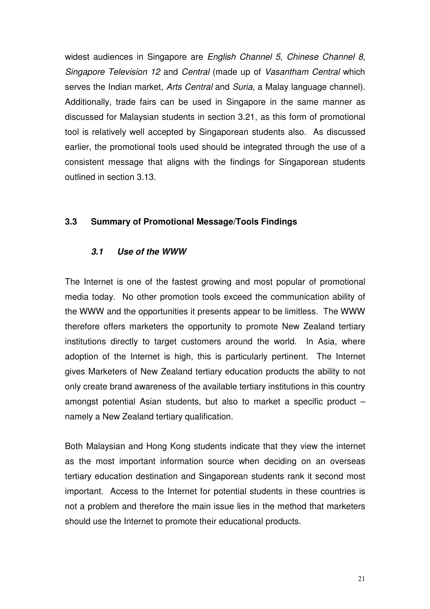widest audiences in Singapore are *English Channel 5*, *Chinese Channel 8*, *Singapore Television 12* and *Central* (made up of *Vasantham Central* which serves the Indian market, *Arts Central* and *Suria*, a Malay language channel). Additionally, trade fairs can be used in Singapore in the same manner as discussed for Malaysian students in section 3.21, as this form of promotional tool is relatively well accepted by Singaporean students also. As discussed earlier, the promotional tools used should be integrated through the use of a consistent message that aligns with the findings for Singaporean students outlined in section 3.13.

#### **3.3 Summary of Promotional Message/Tools Findings**

#### *3.1 Use of the WWW*

The Internet is one of the fastest growing and most popular of promotional media today. No other promotion tools exceed the communication ability of the WWW and the opportunities it presents appear to be limitless. The WWW therefore offers marketers the opportunity to promote New Zealand tertiary institutions directly to target customers around the world. In Asia, where adoption of the Internet is high, this is particularly pertinent. The Internet gives Marketers of New Zealand tertiary education products the ability to not only create brand awareness of the available tertiary institutions in this country amongst potential Asian students, but also to market a specific product – namely a New Zealand tertiary qualification.

Both Malaysian and Hong Kong students indicate that they view the internet as the most important information source when deciding on an overseas tertiary education destination and Singaporean students rank it second most important. Access to the Internet for potential students in these countries is not a problem and therefore the main issue lies in the method that marketers should use the Internet to promote their educational products.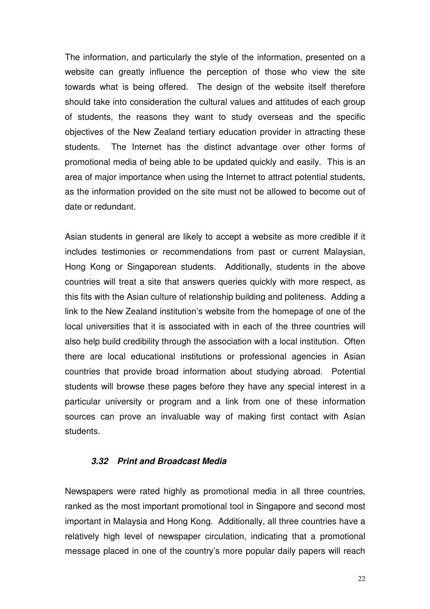The information, and particularly the style of the information, presented on a website can greatly influence the perception of those who view the site towards what is being offered. The design of the website itself therefore should take into consideration the cultural values and attitudes of each group of students, the reasons they want to study overseas and the specific objectives of the New Zealand tertiary education provider in attracting these students. The Internet has the distinct advantage over other forms of promotional media of being able to be updated quickly and easily. This is an area of major importance when using the Internet to attract potential students, as the information provided on the site must not be allowed to become out of date or redundant.

Asian students in general are likely to accept a website as more credible if it includes testimonies or recommendations from past or current Malaysian, Hong Kong or Singaporean students. Additionally, students in the above countries will treat a site that answers queries quickly with more respect, as this fits with the Asian culture of relationship building and politeness. Adding a link to the New Zealand institution's website from the homepage of one of the local universities that it is associated with in each of the three countries will also help build credibility through the association with a local institution. Often there are local educational institutions or professional agencies in Asian countries that provide broad information about studying abroad. Potential students will browse these pages before they have any special interest in a particular university or program and a link from one of these information sources can prove an invaluable way of making first contact with Asian students.

#### *3.32 Print and Broadcast Media*

Newspapers were rated highly as promotional media in all three countries, ranked as the most important promotional tool in Singapore and second most important in Malaysia and Hong Kong. Additionally, all three countries have a relatively high level of newspaper circulation, indicating that a promotional message placed in one of the country's more popular daily papers will reach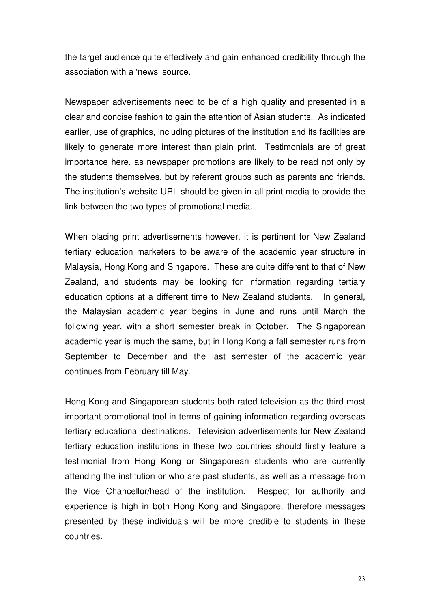the target audience quite effectively and gain enhanced credibility through the association with a 'news' source.

Newspaper advertisements need to be of a high quality and presented in a clear and concise fashion to gain the attention of Asian students. As indicated earlier, use of graphics, including pictures of the institution and its facilities are likely to generate more interest than plain print. Testimonials are of great importance here, as newspaper promotions are likely to be read not only by the students themselves, but by referent groups such as parents and friends. The institution's website URL should be given in all print media to provide the link between the two types of promotional media.

When placing print advertisements however, it is pertinent for New Zealand tertiary education marketers to be aware of the academic year structure in Malaysia, Hong Kong and Singapore. These are quite different to that of New Zealand, and students may be looking for information regarding tertiary education options at a different time to New Zealand students. In general, the Malaysian academic year begins in June and runs until March the following year, with a short semester break in October. The Singaporean academic year is much the same, but in Hong Kong a fall semester runs from September to December and the last semester of the academic year continues from February till May.

Hong Kong and Singaporean students both rated television as the third most important promotional tool in terms of gaining information regarding overseas tertiary educational destinations. Television advertisements for New Zealand tertiary education institutions in these two countries should firstly feature a testimonial from Hong Kong or Singaporean students who are currently attending the institution or who are past students, as well as a message from the Vice Chancellor/head of the institution. Respect for authority and experience is high in both Hong Kong and Singapore, therefore messages presented by these individuals will be more credible to students in these countries.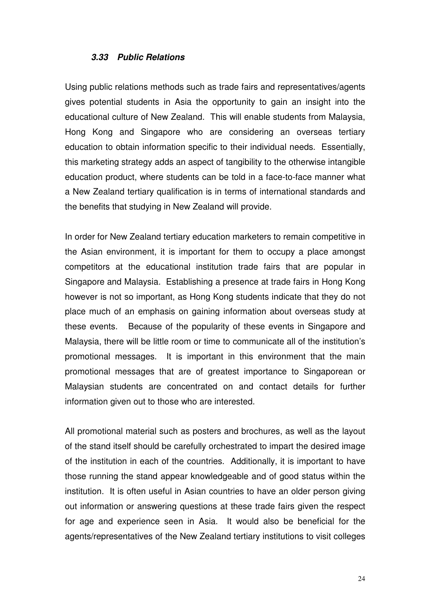#### *3.33 Public Relations*

Using public relations methods such as trade fairs and representatives/agents gives potential students in Asia the opportunity to gain an insight into the educational culture of New Zealand. This will enable students from Malaysia, Hong Kong and Singapore who are considering an overseas tertiary education to obtain information specific to their individual needs. Essentially, this marketing strategy adds an aspect of tangibility to the otherwise intangible education product, where students can be told in a face-to-face manner what a New Zealand tertiary qualification is in terms of international standards and the benefits that studying in New Zealand will provide.

In order for New Zealand tertiary education marketers to remain competitive in the Asian environment, it is important for them to occupy a place amongst competitors at the educational institution trade fairs that are popular in Singapore and Malaysia. Establishing a presence at trade fairs in Hong Kong however is not so important, as Hong Kong students indicate that they do not place much of an emphasis on gaining information about overseas study at these events. Because of the popularity of these events in Singapore and Malaysia, there will be little room or time to communicate all of the institution's promotional messages. It is important in this environment that the main promotional messages that are of greatest importance to Singaporean or Malaysian students are concentrated on and contact details for further information given out to those who are interested.

All promotional material such as posters and brochures, as well as the layout of the stand itself should be carefully orchestrated to impart the desired image of the institution in each of the countries. Additionally, it is important to have those running the stand appear knowledgeable and of good status within the institution. It is often useful in Asian countries to have an older person giving out information or answering questions at these trade fairs given the respect for age and experience seen in Asia. It would also be beneficial for the agents/representatives of the New Zealand tertiary institutions to visit colleges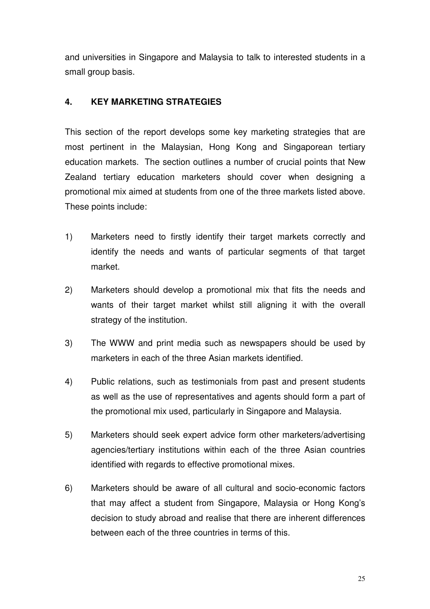and universities in Singapore and Malaysia to talk to interested students in a small group basis.

## **4. KEY MARKETING STRATEGIES**

This section of the report develops some key marketing strategies that are most pertinent in the Malaysian, Hong Kong and Singaporean tertiary education markets. The section outlines a number of crucial points that New Zealand tertiary education marketers should cover when designing a promotional mix aimed at students from one of the three markets listed above. These points include:

- 1) Marketers need to firstly identify their target markets correctly and identify the needs and wants of particular segments of that target market.
- 2) Marketers should develop a promotional mix that fits the needs and wants of their target market whilst still aligning it with the overall strategy of the institution.
- 3) The WWW and print media such as newspapers should be used by marketers in each of the three Asian markets identified.
- 4) Public relations, such as testimonials from past and present students as well as the use of representatives and agents should form a part of the promotional mix used, particularly in Singapore and Malaysia.
- 5) Marketers should seek expert advice form other marketers/advertising agencies/tertiary institutions within each of the three Asian countries identified with regards to effective promotional mixes.
- 6) Marketers should be aware of all cultural and socio-economic factors that may affect a student from Singapore, Malaysia or Hong Kong's decision to study abroad and realise that there are inherent differences between each of the three countries in terms of this.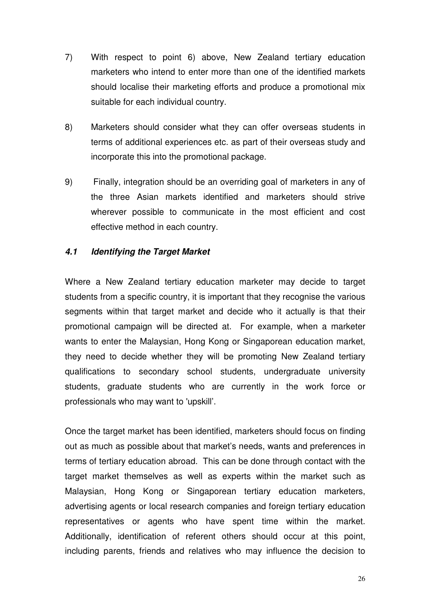- 7) With respect to point 6) above, New Zealand tertiary education marketers who intend to enter more than one of the identified markets should localise their marketing efforts and produce a promotional mix suitable for each individual country.
- 8) Marketers should consider what they can offer overseas students in terms of additional experiences etc. as part of their overseas study and incorporate this into the promotional package.
- 9) Finally, integration should be an overriding goal of marketers in any of the three Asian markets identified and marketers should strive wherever possible to communicate in the most efficient and cost effective method in each country.

#### *4.1 Identifying the Target Market*

Where a New Zealand tertiary education marketer may decide to target students from a specific country, it is important that they recognise the various segments within that target market and decide who it actually is that their promotional campaign will be directed at. For example, when a marketer wants to enter the Malaysian, Hong Kong or Singaporean education market, they need to decide whether they will be promoting New Zealand tertiary qualifications to secondary school students, undergraduate university students, graduate students who are currently in the work force or professionals who may want to 'upskill'.

Once the target market has been identified, marketers should focus on finding out as much as possible about that market's needs, wants and preferences in terms of tertiary education abroad. This can be done through contact with the target market themselves as well as experts within the market such as Malaysian, Hong Kong or Singaporean tertiary education marketers, advertising agents or local research companies and foreign tertiary education representatives or agents who have spent time within the market. Additionally, identification of referent others should occur at this point, including parents, friends and relatives who may influence the decision to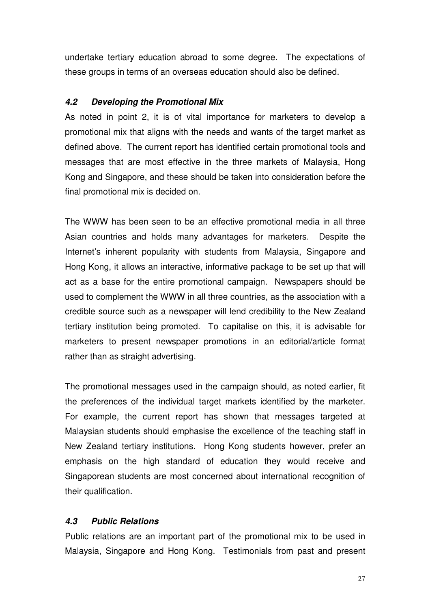undertake tertiary education abroad to some degree. The expectations of these groups in terms of an overseas education should also be defined.

## *4.2 Developing the Promotional Mix*

As noted in point 2, it is of vital importance for marketers to develop a promotional mix that aligns with the needs and wants of the target market as defined above. The current report has identified certain promotional tools and messages that are most effective in the three markets of Malaysia, Hong Kong and Singapore, and these should be taken into consideration before the final promotional mix is decided on.

The WWW has been seen to be an effective promotional media in all three Asian countries and holds many advantages for marketers. Despite the Internet's inherent popularity with students from Malaysia, Singapore and Hong Kong, it allows an interactive, informative package to be set up that will act as a base for the entire promotional campaign. Newspapers should be used to complement the WWW in all three countries, as the association with a credible source such as a newspaper will lend credibility to the New Zealand tertiary institution being promoted. To capitalise on this, it is advisable for marketers to present newspaper promotions in an editorial/article format rather than as straight advertising.

The promotional messages used in the campaign should, as noted earlier, fit the preferences of the individual target markets identified by the marketer. For example, the current report has shown that messages targeted at Malaysian students should emphasise the excellence of the teaching staff in New Zealand tertiary institutions. Hong Kong students however, prefer an emphasis on the high standard of education they would receive and Singaporean students are most concerned about international recognition of their qualification.

# *4.3 Public Relations*

Public relations are an important part of the promotional mix to be used in Malaysia, Singapore and Hong Kong. Testimonials from past and present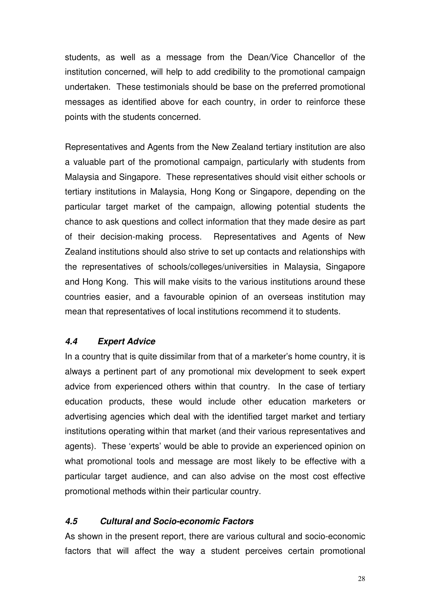students, as well as a message from the Dean/Vice Chancellor of the institution concerned, will help to add credibility to the promotional campaign undertaken. These testimonials should be base on the preferred promotional messages as identified above for each country, in order to reinforce these points with the students concerned.

Representatives and Agents from the New Zealand tertiary institution are also a valuable part of the promotional campaign, particularly with students from Malaysia and Singapore. These representatives should visit either schools or tertiary institutions in Malaysia, Hong Kong or Singapore, depending on the particular target market of the campaign, allowing potential students the chance to ask questions and collect information that they made desire as part of their decision-making process. Representatives and Agents of New Zealand institutions should also strive to set up contacts and relationships with the representatives of schools/colleges/universities in Malaysia, Singapore and Hong Kong. This will make visits to the various institutions around these countries easier, and a favourable opinion of an overseas institution may mean that representatives of local institutions recommend it to students.

# *4.4 Expert Advice*

In a country that is quite dissimilar from that of a marketer's home country, it is always a pertinent part of any promotional mix development to seek expert advice from experienced others within that country. In the case of tertiary education products, these would include other education marketers or advertising agencies which deal with the identified target market and tertiary institutions operating within that market (and their various representatives and agents). These 'experts' would be able to provide an experienced opinion on what promotional tools and message are most likely to be effective with a particular target audience, and can also advise on the most cost effective promotional methods within their particular country.

## *4.5 Cultural and Socio-economic Factors*

As shown in the present report, there are various cultural and socio-economic factors that will affect the way a student perceives certain promotional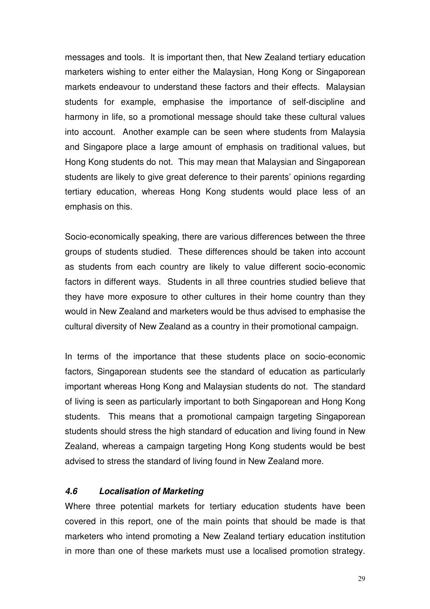messages and tools. It is important then, that New Zealand tertiary education marketers wishing to enter either the Malaysian, Hong Kong or Singaporean markets endeavour to understand these factors and their effects. Malaysian students for example, emphasise the importance of self-discipline and harmony in life, so a promotional message should take these cultural values into account. Another example can be seen where students from Malaysia and Singapore place a large amount of emphasis on traditional values, but Hong Kong students do not. This may mean that Malaysian and Singaporean students are likely to give great deference to their parents' opinions regarding tertiary education, whereas Hong Kong students would place less of an emphasis on this.

Socio-economically speaking, there are various differences between the three groups of students studied. These differences should be taken into account as students from each country are likely to value different socio-economic factors in different ways. Students in all three countries studied believe that they have more exposure to other cultures in their home country than they would in New Zealand and marketers would be thus advised to emphasise the cultural diversity of New Zealand as a country in their promotional campaign.

In terms of the importance that these students place on socio-economic factors, Singaporean students see the standard of education as particularly important whereas Hong Kong and Malaysian students do not. The standard of living is seen as particularly important to both Singaporean and Hong Kong students. This means that a promotional campaign targeting Singaporean students should stress the high standard of education and living found in New Zealand, whereas a campaign targeting Hong Kong students would be best advised to stress the standard of living found in New Zealand more.

## *4.6 Localisation of Marketing*

Where three potential markets for tertiary education students have been covered in this report, one of the main points that should be made is that marketers who intend promoting a New Zealand tertiary education institution in more than one of these markets must use a localised promotion strategy.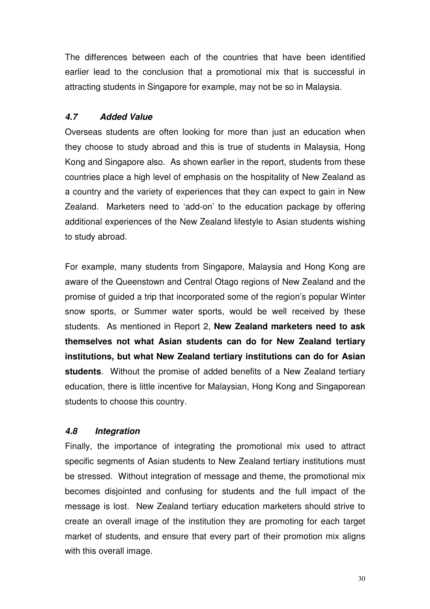The differences between each of the countries that have been identified earlier lead to the conclusion that a promotional mix that is successful in attracting students in Singapore for example, may not be so in Malaysia.

## *4.7 Added Value*

Overseas students are often looking for more than just an education when they choose to study abroad and this is true of students in Malaysia, Hong Kong and Singapore also. As shown earlier in the report, students from these countries place a high level of emphasis on the hospitality of New Zealand as a country and the variety of experiences that they can expect to gain in New Zealand. Marketers need to 'add-on' to the education package by offering additional experiences of the New Zealand lifestyle to Asian students wishing to study abroad.

For example, many students from Singapore, Malaysia and Hong Kong are aware of the Queenstown and Central Otago regions of New Zealand and the promise of guided a trip that incorporated some of the region's popular Winter snow sports, or Summer water sports, would be well received by these students. As mentioned in Report 2, **New Zealand marketers need to ask themselves not what Asian students can do for New Zealand tertiary institutions, but what New Zealand tertiary institutions can do for Asian students**. Without the promise of added benefits of a New Zealand tertiary education, there is little incentive for Malaysian, Hong Kong and Singaporean students to choose this country.

# *4.8 Integration*

Finally, the importance of integrating the promotional mix used to attract specific segments of Asian students to New Zealand tertiary institutions must be stressed. Without integration of message and theme, the promotional mix becomes disjointed and confusing for students and the full impact of the message is lost. New Zealand tertiary education marketers should strive to create an overall image of the institution they are promoting for each target market of students, and ensure that every part of their promotion mix aligns with this overall image.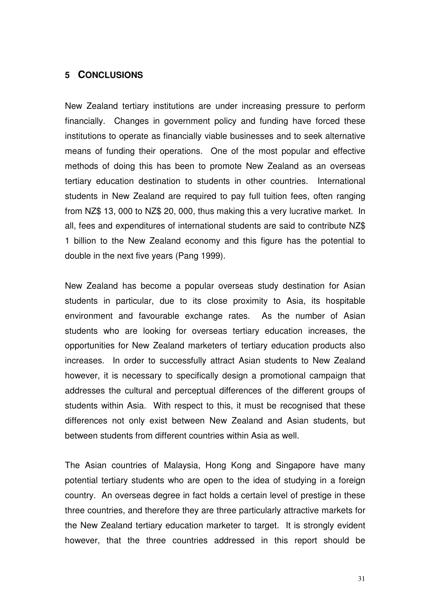#### **5 CONCLUSIONS**

New Zealand tertiary institutions are under increasing pressure to perform financially. Changes in government policy and funding have forced these institutions to operate as financially viable businesses and to seek alternative means of funding their operations. One of the most popular and effective methods of doing this has been to promote New Zealand as an overseas tertiary education destination to students in other countries. International students in New Zealand are required to pay full tuition fees, often ranging from NZ\$ 13, 000 to NZ\$ 20, 000, thus making this a very lucrative market. In all, fees and expenditures of international students are said to contribute NZ\$ 1 billion to the New Zealand economy and this figure has the potential to double in the next five years (Pang 1999).

New Zealand has become a popular overseas study destination for Asian students in particular, due to its close proximity to Asia, its hospitable environment and favourable exchange rates. As the number of Asian students who are looking for overseas tertiary education increases, the opportunities for New Zealand marketers of tertiary education products also increases. In order to successfully attract Asian students to New Zealand however, it is necessary to specifically design a promotional campaign that addresses the cultural and perceptual differences of the different groups of students within Asia. With respect to this, it must be recognised that these differences not only exist between New Zealand and Asian students, but between students from different countries within Asia as well.

The Asian countries of Malaysia, Hong Kong and Singapore have many potential tertiary students who are open to the idea of studying in a foreign country. An overseas degree in fact holds a certain level of prestige in these three countries, and therefore they are three particularly attractive markets for the New Zealand tertiary education marketer to target. It is strongly evident however, that the three countries addressed in this report should be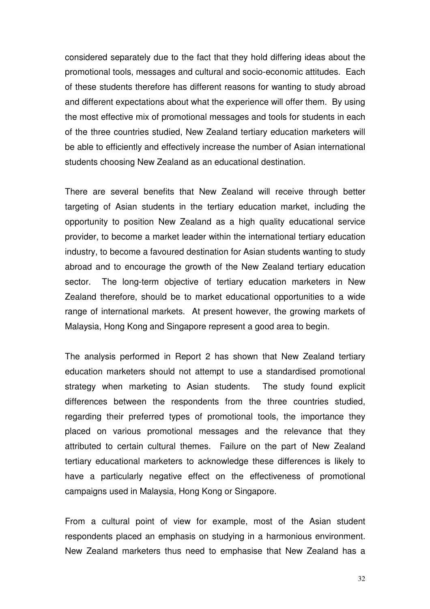considered separately due to the fact that they hold differing ideas about the promotional tools, messages and cultural and socio-economic attitudes. Each of these students therefore has different reasons for wanting to study abroad and different expectations about what the experience will offer them. By using the most effective mix of promotional messages and tools for students in each of the three countries studied, New Zealand tertiary education marketers will be able to efficiently and effectively increase the number of Asian international students choosing New Zealand as an educational destination.

There are several benefits that New Zealand will receive through better targeting of Asian students in the tertiary education market, including the opportunity to position New Zealand as a high quality educational service provider, to become a market leader within the international tertiary education industry, to become a favoured destination for Asian students wanting to study abroad and to encourage the growth of the New Zealand tertiary education sector. The long-term objective of tertiary education marketers in New Zealand therefore, should be to market educational opportunities to a wide range of international markets. At present however, the growing markets of Malaysia, Hong Kong and Singapore represent a good area to begin.

The analysis performed in Report 2 has shown that New Zealand tertiary education marketers should not attempt to use a standardised promotional strategy when marketing to Asian students. The study found explicit differences between the respondents from the three countries studied, regarding their preferred types of promotional tools, the importance they placed on various promotional messages and the relevance that they attributed to certain cultural themes. Failure on the part of New Zealand tertiary educational marketers to acknowledge these differences is likely to have a particularly negative effect on the effectiveness of promotional campaigns used in Malaysia, Hong Kong or Singapore.

From a cultural point of view for example, most of the Asian student respondents placed an emphasis on studying in a harmonious environment. New Zealand marketers thus need to emphasise that New Zealand has a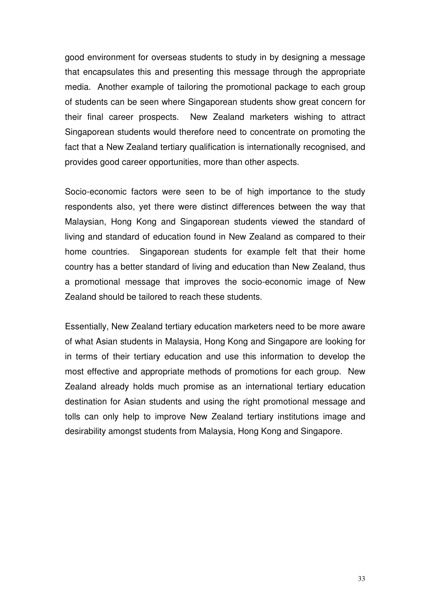good environment for overseas students to study in by designing a message that encapsulates this and presenting this message through the appropriate media. Another example of tailoring the promotional package to each group of students can be seen where Singaporean students show great concern for their final career prospects. New Zealand marketers wishing to attract Singaporean students would therefore need to concentrate on promoting the fact that a New Zealand tertiary qualification is internationally recognised, and provides good career opportunities, more than other aspects.

Socio-economic factors were seen to be of high importance to the study respondents also, yet there were distinct differences between the way that Malaysian, Hong Kong and Singaporean students viewed the standard of living and standard of education found in New Zealand as compared to their home countries. Singaporean students for example felt that their home country has a better standard of living and education than New Zealand, thus a promotional message that improves the socio-economic image of New Zealand should be tailored to reach these students.

Essentially, New Zealand tertiary education marketers need to be more aware of what Asian students in Malaysia, Hong Kong and Singapore are looking for in terms of their tertiary education and use this information to develop the most effective and appropriate methods of promotions for each group. New Zealand already holds much promise as an international tertiary education destination for Asian students and using the right promotional message and tolls can only help to improve New Zealand tertiary institutions image and desirability amongst students from Malaysia, Hong Kong and Singapore.